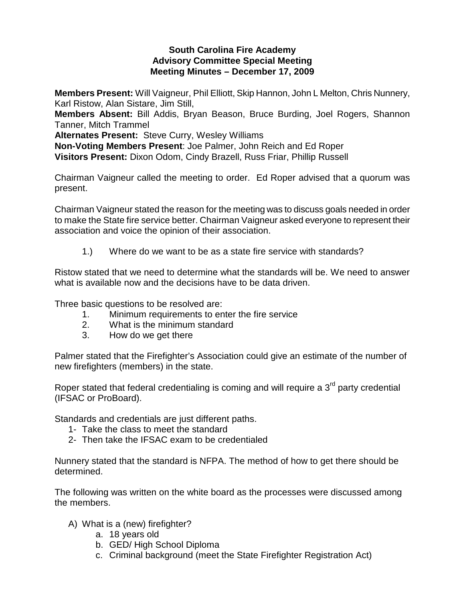### **South Carolina Fire Academy Advisory Committee Special Meeting Meeting Minutes – December 17, 2009**

**Members Present:** Will Vaigneur, Phil Elliott, Skip Hannon, John L Melton, Chris Nunnery, Karl Ristow, Alan Sistare, Jim Still,

**Members Absent:** Bill Addis, Bryan Beason, Bruce Burding, Joel Rogers, Shannon Tanner, Mitch Trammel

**Alternates Present:** Steve Curry, Wesley Williams

**Non-Voting Members Present**: Joe Palmer, John Reich and Ed Roper **Visitors Present:** Dixon Odom, Cindy Brazell, Russ Friar, Phillip Russell

Chairman Vaigneur called the meeting to order. Ed Roper advised that a quorum was present.

Chairman Vaigneur stated the reason for the meeting was to discuss goals needed in order to make the State fire service better. Chairman Vaigneur asked everyone to represent their association and voice the opinion of their association.

1.) Where do we want to be as a state fire service with standards?

Ristow stated that we need to determine what the standards will be. We need to answer what is available now and the decisions have to be data driven.

Three basic questions to be resolved are:

- 1. Minimum requirements to enter the fire service
- 2. What is the minimum standard
- 3. How do we get there

Palmer stated that the Firefighter's Association could give an estimate of the number of new firefighters (members) in the state.

Roper stated that federal credentialing is coming and will require a  $3<sup>rd</sup>$  party credential (IFSAC or ProBoard).

Standards and credentials are just different paths.

- 1- Take the class to meet the standard
- 2- Then take the IFSAC exam to be credentialed

Nunnery stated that the standard is NFPA. The method of how to get there should be determined.

The following was written on the white board as the processes were discussed among the members.

- A) What is a (new) firefighter?
	- a. 18 years old
	- b. GED/ High School Diploma
	- c. Criminal background (meet the State Firefighter Registration Act)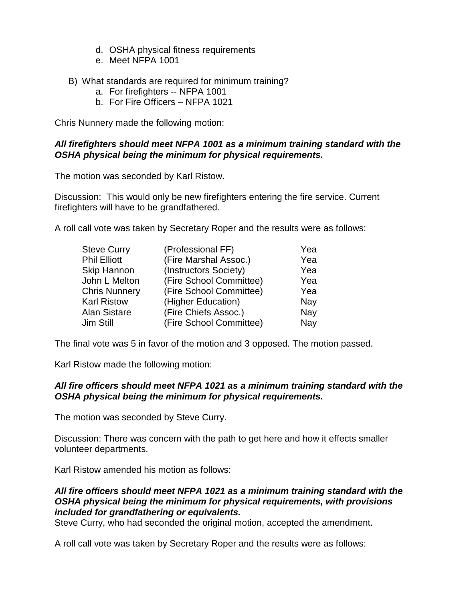- d. OSHA physical fitness requirements
- e. Meet NFPA 1001
- B) What standards are required for minimum training?
	- a. For firefighters -- NFPA 1001
	- b. For Fire Officers NFPA 1021

Chris Nunnery made the following motion:

# *All firefighters should meet NFPA 1001 as a minimum training standard with the OSHA physical being the minimum for physical requirements.*

The motion was seconded by Karl Ristow.

Discussion: This would only be new firefighters entering the fire service. Current firefighters will have to be grandfathered.

A roll call vote was taken by Secretary Roper and the results were as follows:

| <b>Steve Curry</b>   | (Professional FF)       | Yea |
|----------------------|-------------------------|-----|
| <b>Phil Elliott</b>  | (Fire Marshal Assoc.)   | Yea |
| <b>Skip Hannon</b>   | (Instructors Society)   | Yea |
| John L Melton        | (Fire School Committee) | Yea |
| <b>Chris Nunnery</b> | (Fire School Committee) | Yea |
| <b>Karl Ristow</b>   | (Higher Education)      | Nay |
| Alan Sistare         | (Fire Chiefs Assoc.)    | Nay |
| Jim Still            | (Fire School Committee) | Nay |
|                      |                         |     |

The final vote was 5 in favor of the motion and 3 opposed. The motion passed.

Karl Ristow made the following motion:

# *All fire officers should meet NFPA 1021 as a minimum training standard with the OSHA physical being the minimum for physical requirements.*

The motion was seconded by Steve Curry.

Discussion: There was concern with the path to get here and how it effects smaller volunteer departments.

Karl Ristow amended his motion as follows:

### *All fire officers should meet NFPA 1021 as a minimum training standard with the OSHA physical being the minimum for physical requirements, with provisions included for grandfathering or equivalents.*

Steve Curry, who had seconded the original motion, accepted the amendment.

A roll call vote was taken by Secretary Roper and the results were as follows: